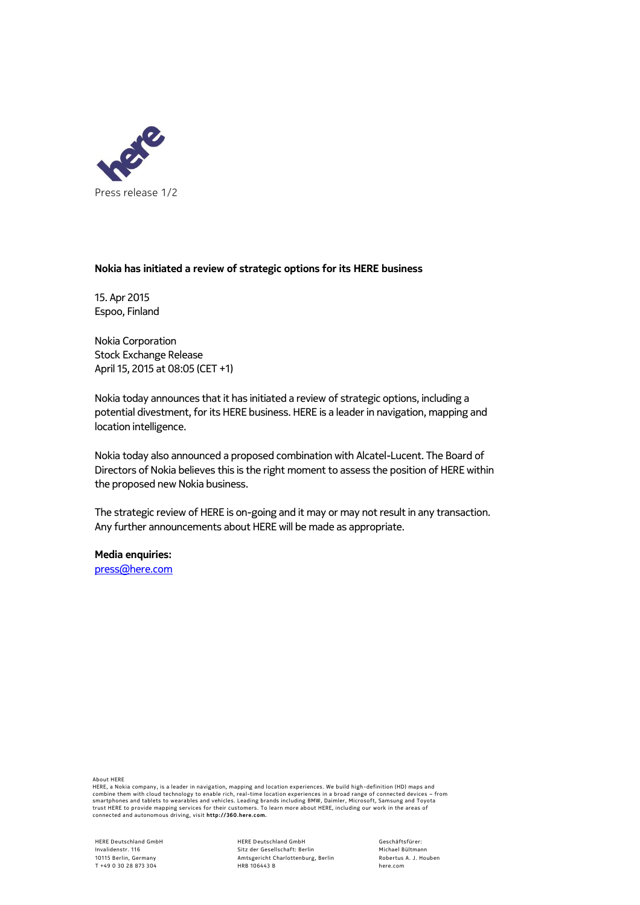

## **Nokia has initiated a review of strategic options for its HERE business**

15. Apr 2015 Espoo, Finland

Nokia Corporation Stock Exchange Release April 15, 2015 at 08:05 (CET +1)

Nokia today announces that it has initiated a review of strategic options, including a potential divestment, for its HERE business. HERE is a leader in navigation, mapping and location intelligence.

Nokia today also announced a proposed combination with Alcatel-Lucent. The Board of Directors of Nokia believes this is the right moment to assess the position of HERE within the proposed new Nokia business.

The strategic review of HERE is on-going and it may or may not result in any transaction. Any further announcements about HERE will be made as appropriate.

**Media enquiries:**  [press@here.com](mailto:press@here.com)

About HERE<br>HERE, a Nokia company, is a leader in navigation, mapping and location experiences. We build high-definition (HD) maps and<br>combine them with cloud technology to enable rich, real-time location experiences in a b

HERE Deutschland GmbH Invalidenstr. 116 10115 Berlin, Germany T +49 0 30 28 873 304

HERE Deutschland GmbH Sitz der Gesellschaft: Berlin Amtsgericht Charlottenburg, Berlin HRB 106443 B

Geschäftsfürer: Michael Bültmann Robertus A. J. Houben here.com